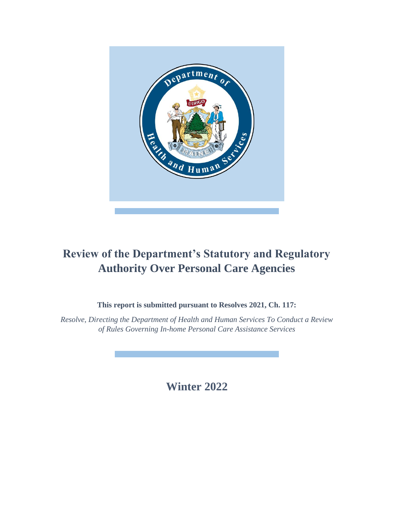

# **Review of the Department's Statutory and Regulatory Authority Over Personal Care Agencies**

**This report is submitted pursuant to Resolves 2021, Ch. 117:** 

*Resolve, Directing the Department of Health and Human Services To Conduct a Review of Rules Governing In-home Personal Care Assistance Services*

**Winter 2022**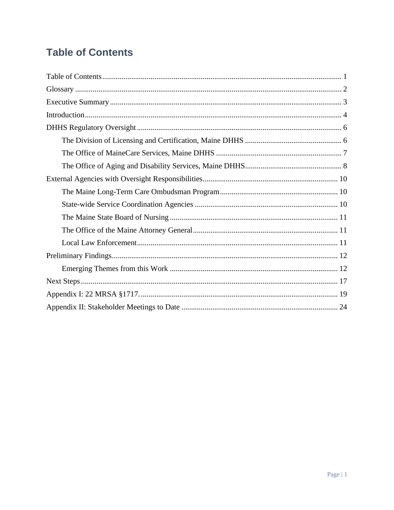# <span id="page-1-0"></span>**Table of Contents**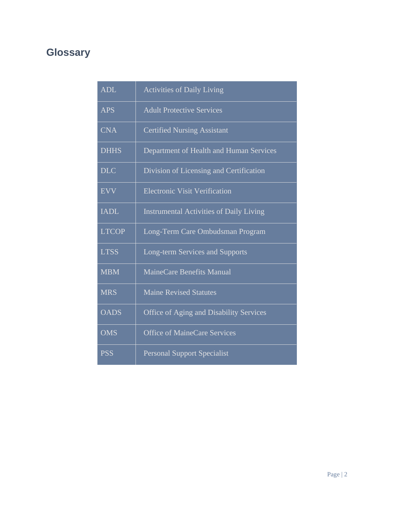# <span id="page-2-0"></span>**Glossary**

| <b>ADL</b>   | <b>Activities of Daily Living</b>              |
|--------------|------------------------------------------------|
| <b>APS</b>   | <b>Adult Protective Services</b>               |
| <b>CNA</b>   | <b>Certified Nursing Assistant</b>             |
| <b>DHHS</b>  | Department of Health and Human Services        |
| <b>DLC</b>   | Division of Licensing and Certification        |
| <b>EVV</b>   | <b>Electronic Visit Verification</b>           |
| <b>IADL</b>  | <b>Instrumental Activities of Daily Living</b> |
| <b>LTCOP</b> | Long-Term Care Ombudsman Program               |
| <b>LTSS</b>  | Long-term Services and Supports                |
| <b>MBM</b>   | MaineCare Benefits Manual                      |
| <b>MRS</b>   | <b>Maine Revised Statutes</b>                  |
| <b>OADS</b>  | <b>Office of Aging and Disability Services</b> |
| <b>OMS</b>   | Office of MaineCare Services                   |
| <b>PSS</b>   | <b>Personal Support Specialist</b>             |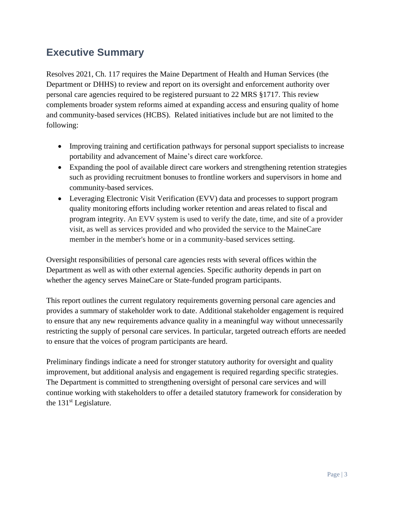## <span id="page-3-0"></span>**Executive Summary**

Resolves 2021, Ch. 117 requires the Maine Department of Health and Human Services (the Department or DHHS) to review and report on its oversight and enforcement authority over personal care agencies required to be registered pursuant to 22 MRS §1717. This review complements broader system reforms aimed at expanding access and ensuring quality of home and community-based services (HCBS). Related initiatives include but are not limited to the following:

- Improving training and certification pathways for personal support specialists to increase portability and advancement of Maine's direct care workforce.
- Expanding the pool of available direct care workers and strengthening retention strategies such as providing recruitment bonuses to frontline workers and supervisors in home and community-based services.
- Leveraging Electronic Visit Verification (EVV) data and processes to support program quality monitoring efforts including worker retention and areas related to fiscal and program integrity. An EVV system is used to verify the date, time, and site of a provider visit, as well as services provided and who provided the service to the MaineCare member in the member's home or in a community-based services setting.

Oversight responsibilities of personal care agencies rests with several offices within the Department as well as with other external agencies. Specific authority depends in part on whether the agency serves MaineCare or State-funded program participants.

This report outlines the current regulatory requirements governing personal care agencies and provides a summary of stakeholder work to date. Additional stakeholder engagement is required to ensure that any new requirements advance quality in a meaningful way without unnecessarily restricting the supply of personal care services. In particular, targeted outreach efforts are needed to ensure that the voices of program participants are heard.

Preliminary findings indicate a need for stronger statutory authority for oversight and quality improvement, but additional analysis and engagement is required regarding specific strategies. The Department is committed to strengthening oversight of personal care services and will continue working with stakeholders to offer a detailed statutory framework for consideration by the 131st Legislature.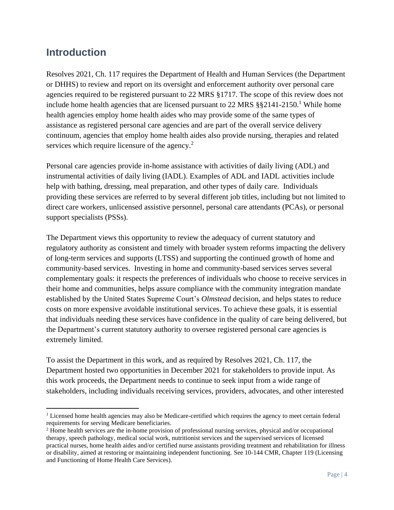## <span id="page-4-0"></span>**Introduction**

Resolves 2021, Ch. 117 requires the Department of Health and Human Services (the Department or DHHS) to review and report on its oversight and enforcement authority over personal care agencies required to be registered pursuant to 22 MRS §1717. The scope of this review does not include home health agencies that are licensed pursuant to  $22$  MRS  $\S$ § $2141-2150$ .<sup>1</sup> While home health agencies employ home health aides who may provide some of the same types of assistance as registered personal care agencies and are part of the overall service delivery continuum, agencies that employ home health aides also provide nursing, therapies and related services which require licensure of the agency.<sup>2</sup>

Personal care agencies provide in-home assistance with activities of daily living (ADL) and instrumental activities of daily living (IADL). Examples of ADL and IADL activities include help with bathing, dressing, meal preparation, and other types of daily care. Individuals providing these services are referred to by several different job titles, including but not limited to direct care workers, unlicensed assistive personnel, personal care attendants (PCAs), or personal support specialists (PSSs).

The Department views this opportunity to review the adequacy of current statutory and regulatory authority as consistent and timely with broader system reforms impacting the delivery of long-term services and supports (LTSS) and supporting the continued growth of home and community-based services. Investing in home and community-based services serves several complementary goals: it respects the preferences of individuals who choose to receive services in their home and communities, helps assure compliance with the community integration mandate established by the United States Supreme Court's *Olmstead* decision, and helps states to reduce costs on more expensive avoidable institutional services. To achieve these goals, it is essential that individuals needing these services have confidence in the quality of care being delivered, but the Department's current statutory authority to oversee registered personal care agencies is extremely limited.

To assist the Department in this work, and as required by Resolves 2021, Ch. 117, the Department hosted two opportunities in December 2021 for stakeholders to provide input. As this work proceeds, the Department needs to continue to seek input from a wide range of stakeholders, including individuals receiving services, providers, advocates, and other interested

 $<sup>1</sup>$  Licensed home health agencies may also be Medicare-certified which requires the agency to meet certain federal</sup> requirements for serving Medicare beneficiaries.

<sup>2</sup> Home health services are the in-home provision of professional nursing services, physical and/or occupational therapy, speech pathology, medical social work, nutritionist services and the supervised services of licensed practical nurses, home health aides and/or certified nurse assistants providing treatment and rehabilitation for illness or disability, aimed at restoring or maintaining independent functioning. See 10-144 CMR, Chapter 119 (Licensing and Functioning of Home Health Care Services).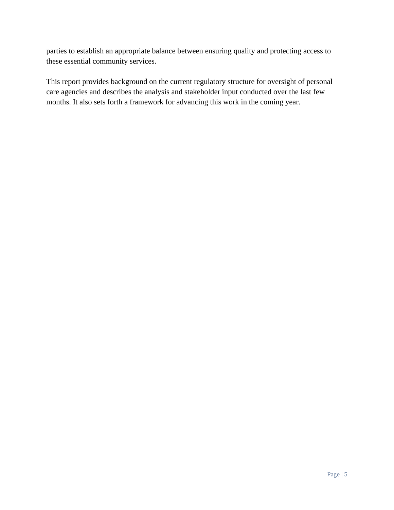parties to establish an appropriate balance between ensuring quality and protecting access to these essential community services.

This report provides background on the current regulatory structure for oversight of personal care agencies and describes the analysis and stakeholder input conducted over the last few months. It also sets forth a framework for advancing this work in the coming year.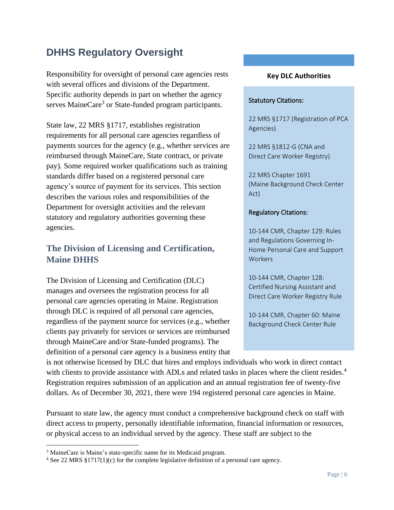# <span id="page-6-0"></span>**DHHS Regulatory Oversight**

Responsibility for oversight of personal care agencies rests with several offices and divisions of the Department. Specific authority depends in part on whether the agency serves MaineCare<sup>3</sup> or State-funded program participants.

State law, 22 MRS §1717, establishes registration requirements for all personal care agencies regardless of payments sources for the agency (e.g., whether services are reimbursed through MaineCare, State contract, or private pay). Some required worker qualifications such as training standards differ based on a registered personal care agency's source of payment for its services. This section describes the various roles and responsibilities of the Department for oversight activities and the relevant statutory and regulatory authorities governing these agencies.

## <span id="page-6-1"></span>**The Division of Licensing and Certification, Maine DHHS**

The Division of Licensing and Certification (DLC) manages and oversees the registration process for all personal care agencies operating in Maine. Registration through DLC is required of all personal care agencies, regardless of the payment source for services (e.g., whether clients pay privately for services or services are reimbursed through MaineCare and/or State-funded programs). The definition of a personal care agency is a business entity that

#### **Key DLC Authorities**

#### Statutory Citations:

22 MRS §1717 (Registration of PCA Agencies)

22 MRS §1812-G (CNA and Direct Care Worker Registry)

22 MRS Chapter 1691 (Maine Background Check Center Act)

#### Regulatory Citations:

10-144 CMR, Chapter 129: Rules and Regulations Governing In-Home Personal Care and Support Workers

10-144 CMR, Chapter 128: Certified Nursing Assistant and Direct Care Worker Registry Rule

10-144 CMR, Chapter 60: Maine Background Check Center Rule

is not otherwise licensed by DLC that hires and employs individuals who work in direct contact with clients to provide assistance with ADLs and related tasks in places where the client resides.<sup>4</sup> Registration requires submission of an application and an annual registration fee of twenty-five dollars. As of December 30, 2021, there were 194 registered personal care agencies in Maine.

Pursuant to state law, the agency must conduct a comprehensive background check on staff with direct access to property, personally identifiable information, financial information or resources, or physical access to an individual served by the agency. These staff are subject to the

<sup>3</sup> MaineCare is Maine's state-specific name for its Medicaid program.

<sup>4</sup> See 22 MRS §1717(1)(c) for the complete legislative definition of a personal care agency.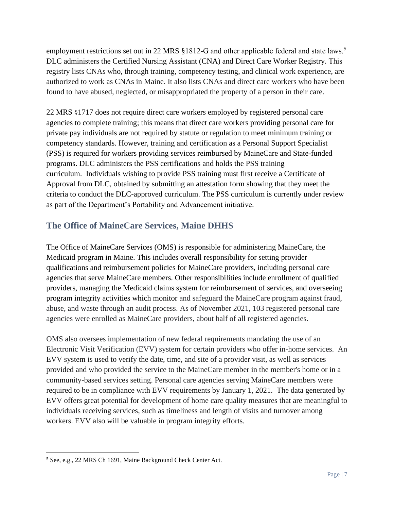employment restrictions set out in 22 MRS §1812-G and other applicable federal and state laws.<sup>5</sup> DLC administers the Certified Nursing Assistant (CNA) and Direct Care Worker Registry. This registry lists CNAs who, through training, competency testing, and clinical work experience, are authorized to work as CNAs in Maine. It also lists CNAs and direct care workers who have been found to have abused, neglected, or misappropriated the property of a person in their care.

22 MRS §1717 does not require direct care workers employed by registered personal care agencies to complete training; this means that direct care workers providing personal care for private pay individuals are not required by statute or regulation to meet minimum training or competency standards. However, training and certification as a Personal Support Specialist (PSS) is required for workers providing services reimbursed by MaineCare and State-funded programs. DLC administers the PSS certifications and holds the PSS training curriculum. Individuals wishing to provide PSS training must first receive a Certificate of Approval from DLC, obtained by submitting an attestation form showing that they meet the criteria to conduct the DLC-approved curriculum. The PSS curriculum is currently under review as part of the Department's Portability and Advancement initiative.

## <span id="page-7-0"></span>**The Office of MaineCare Services, Maine DHHS**

The Office of MaineCare Services (OMS) is responsible for administering MaineCare, the Medicaid program in Maine. This includes overall responsibility for setting provider qualifications and reimbursement policies for MaineCare providers, including personal care agencies that serve MaineCare members. Other responsibilities include enrollment of qualified providers, managing the Medicaid claims system for reimbursement of services, and overseeing program integrity activities which monitor and safeguard the MaineCare program against fraud, abuse, and waste through an audit process. As of November 2021, 103 registered personal care agencies were enrolled as MaineCare providers, about half of all registered agencies.

OMS also oversees implementation of new federal requirements mandating the use of an Electronic Visit Verification (EVV) system for certain providers who offer in-home services. An EVV system is used to verify the date, time, and site of a provider visit, as well as services provided and who provided the service to the MaineCare member in the member's home or in a community-based services setting. Personal care agencies serving MaineCare members were required to be in compliance with EVV requirements by January 1, 2021. The data generated by EVV offers great potential for development of home care quality measures that are meaningful to individuals receiving services, such as timeliness and length of visits and turnover among workers. EVV also will be valuable in program integrity efforts.

<sup>5</sup> See, e.g., 22 MRS Ch 1691, Maine Background Check Center Act.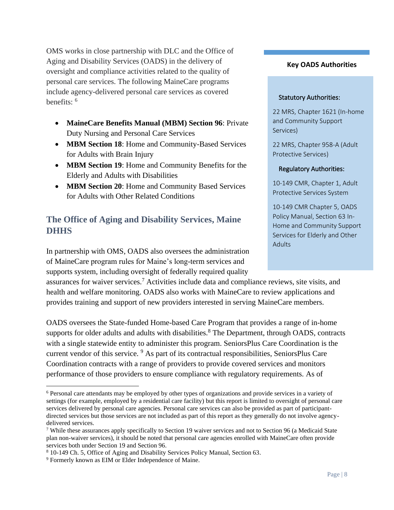OMS works in close partnership with DLC and the Office of Aging and Disability Services (OADS) in the delivery of oversight and compliance activities related to the quality of personal care services. The following MaineCare programs include agency-delivered personal care services as covered benefits: <sup>6</sup>

- **MaineCare Benefits Manual (MBM) Section 96**: Private Duty Nursing and Personal Care Services
- **MBM Section 18**: Home and Community-Based Services for Adults with Brain Injury
- **MBM Section 19**: Home and Community Benefits for the Elderly and Adults with Disabilities
- **MBM Section 20**: Home and Community Based Services for Adults with Other Related Conditions

## <span id="page-8-0"></span>**The Office of Aging and Disability Services, Maine DHHS**

In partnership with OMS, OADS also oversees the administration of MaineCare program rules for Maine's long-term services and supports system, including oversight of federally required quality

assurances for waiver services.<sup>7</sup> Activities include data and compliance reviews, site visits, and health and welfare monitoring. OADS also works with MaineCare to review applications and provides training and support of new providers interested in serving MaineCare members.

OADS oversees the State-funded Home-based Care Program that provides a range of in-home supports for older adults and adults with disabilities.<sup>8</sup> The Department, through OADS, contracts with a single statewide entity to administer this program. SeniorsPlus Care Coordination is the current vendor of this service. <sup>9</sup> As part of its contractual responsibilities, SeniorsPlus Care Coordination contracts with a range of providers to provide covered services and monitors performance of those providers to ensure compliance with regulatory requirements. As of

#### **Key OADS Authorities**

#### Statutory Authorities:

22 MRS, Chapter 1621 (In-home and Community Support Services)

22 MRS, Chapter 958-A (Adult Protective Services)

#### Regulatory Authorities:

10-149 CMR, Chapter 1, Adult Protective Services System

10-149 CMR Chapter 5, OADS Policy Manual, Section 63 In-Home and Community Support Services for Elderly and Other Adults

<sup>6</sup> Personal care attendants may be employed by other types of organizations and provide services in a variety of settings (for example, employed by a residential care facility) but this report is limited to oversight of personal care services delivered by personal care agencies. Personal care services can also be provided as part of participantdirected services but those services are not included as part of this report as they generally do not involve agencydelivered services.

<sup>7</sup> While these assurances apply specifically to Section 19 waiver services and not to Section 96 (a Medicaid State plan non-waiver services), it should be noted that personal care agencies enrolled with MaineCare often provide services both under Section 19 and Section 96.

<sup>8</sup> 10-149 Ch. 5, Office of Aging and Disability Services Policy Manual, Section 63.

<sup>9</sup> Formerly known as EIM or Elder Independence of Maine.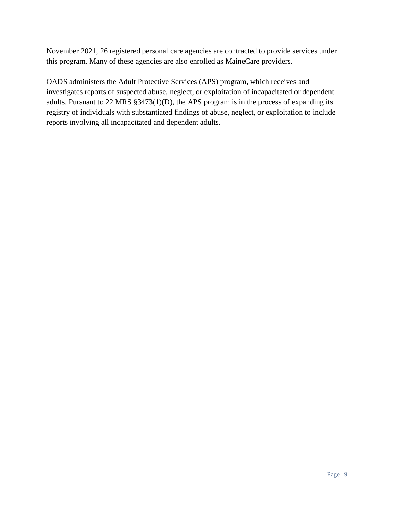November 2021, 26 registered personal care agencies are contracted to provide services under this program. Many of these agencies are also enrolled as MaineCare providers.

OADS administers the Adult Protective Services (APS) program, which receives and investigates reports of suspected abuse, neglect, or exploitation of incapacitated or dependent adults. Pursuant to 22 MRS §3473(1)(D), the APS program is in the process of expanding its registry of individuals with substantiated findings of abuse, neglect, or exploitation to include reports involving all incapacitated and dependent adults.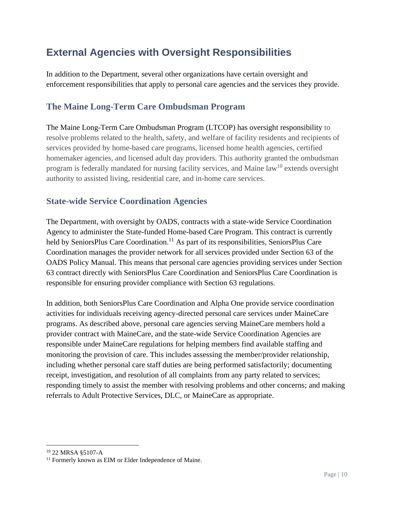# <span id="page-10-0"></span>**External Agencies with Oversight Responsibilities**

In addition to the Department, several other organizations have certain oversight and enforcement responsibilities that apply to personal care agencies and the services they provide.

### <span id="page-10-1"></span>**The Maine Long-Term Care Ombudsman Program**

The Maine Long-Term Care Ombudsman Program (LTCOP) has oversight responsibility to resolve problems related to the health, safety, and welfare of facility residents and recipients of services provided by home-based care programs, licensed home health agencies, certified homemaker agencies, and licensed adult day providers. This authority granted the ombudsman program is federally mandated for nursing facility services, and Maine law<sup>10</sup> extends oversight authority to assisted living, residential care, and in-home care services.

### <span id="page-10-2"></span>**State-wide Service Coordination Agencies**

The Department, with oversight by OADS, contracts with a state-wide Service Coordination Agency to administer the State-funded Home-based Care Program. This contract is currently held by SeniorsPlus Care Coordination.<sup>11</sup> As part of its responsibilities, SeniorsPlus Care Coordination manages the provider network for all services provided under Section 63 of the OADS Policy Manual. This means that personal care agencies providing services under Section 63 contract directly with SeniorsPlus Care Coordination and SeniorsPlus Care Coordination is responsible for ensuring provider compliance with Section 63 regulations.

In addition, both SeniorsPlus Care Coordination and Alpha One provide service coordination activities for individuals receiving agency-directed personal care services under MaineCare programs. As described above, personal care agencies serving MaineCare members hold a provider contract with MaineCare, and the state-wide Service Coordination Agencies are responsible under MaineCare regulations for helping members find available staffing and monitoring the provision of care. This includes assessing the member/provider relationship, including whether personal care staff duties are being performed satisfactorily; documenting receipt, investigation, and resolution of all complaints from any party related to services; responding timely to assist the member with resolving problems and other concerns; and making referrals to Adult Protective Services, DLC, or MaineCare as appropriate.

<span id="page-10-3"></span><sup>10</sup> 22 MRSA §5107-A

<sup>&</sup>lt;sup>11</sup> Formerly known as EIM or Elder Independence of Maine.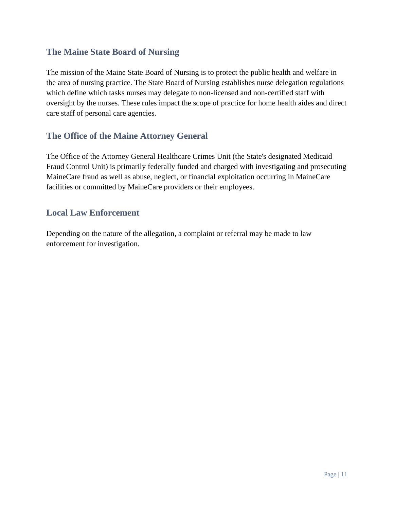### **The Maine State Board of Nursing**

The mission of the Maine State Board of Nursing is to protect the public health and welfare in the area of nursing practice. The State Board of Nursing establishes nurse delegation regulations which define which tasks nurses may delegate to non-licensed and non-certified staff with oversight by the nurses. These rules impact the scope of practice for home health aides and direct care staff of personal care agencies.

### <span id="page-11-0"></span>**The Office of the Maine Attorney General**

The Office of the Attorney General Healthcare Crimes Unit (the State's designated Medicaid Fraud Control Unit) is primarily federally funded and charged with investigating and prosecuting MaineCare fraud as well as abuse, neglect, or financial exploitation occurring in MaineCare facilities or committed by MaineCare providers or their employees.

### <span id="page-11-1"></span>**Local Law Enforcement**

Depending on the nature of the allegation, a complaint or referral may be made to law enforcement for investigation.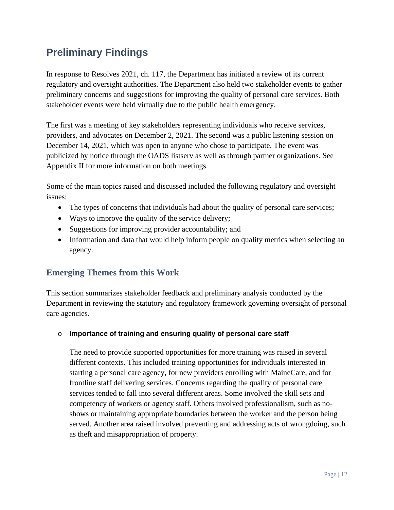# <span id="page-12-0"></span>**Preliminary Findings**

In response to Resolves 2021, ch. 117, the Department has initiated a review of its current regulatory and oversight authorities. The Department also held two stakeholder events to gather preliminary concerns and suggestions for improving the quality of personal care services. Both stakeholder events were held virtually due to the public health emergency.

The first was a meeting of key stakeholders representing individuals who receive services, providers, and advocates on December 2, 2021. The second was a public listening session on December 14, 2021, which was open to anyone who chose to participate. The event was publicized by notice through the OADS listserv as well as through partner organizations. See Appendix II for more information on both meetings.

Some of the main topics raised and discussed included the following regulatory and oversight issues:

- The types of concerns that individuals had about the quality of personal care services;
- Ways to improve the quality of the service delivery;
- Suggestions for improving provider accountability; and
- Information and data that would help inform people on quality metrics when selecting an agency.

## <span id="page-12-1"></span>**Emerging Themes from this Work**

This section summarizes stakeholder feedback and preliminary analysis conducted by the Department in reviewing the statutory and regulatory framework governing oversight of personal care agencies.

### o **Importance of training and ensuring quality of personal care staff**

The need to provide supported opportunities for more training was raised in several different contexts. This included training opportunities for individuals interested in starting a personal care agency, for new providers enrolling with MaineCare, and for frontline staff delivering services. Concerns regarding the quality of personal care services tended to fall into several different areas. Some involved the skill sets and competency of workers or agency staff. Others involved professionalism, such as noshows or maintaining appropriate boundaries between the worker and the person being served. Another area raised involved preventing and addressing acts of wrongdoing, such as theft and misappropriation of property.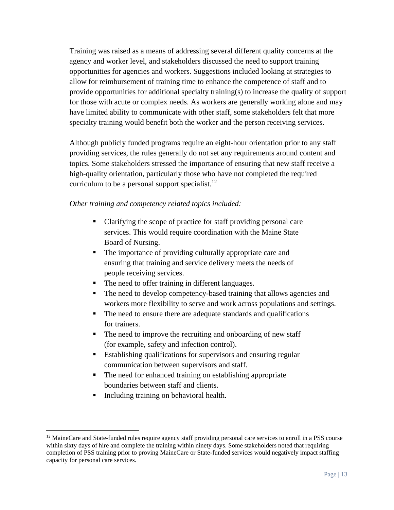Training was raised as a means of addressing several different quality concerns at the agency and worker level, and stakeholders discussed the need to support training opportunities for agencies and workers. Suggestions included looking at strategies to allow for reimbursement of training time to enhance the competence of staff and to provide opportunities for additional specialty training(s) to increase the quality of support for those with acute or complex needs. As workers are generally working alone and may have limited ability to communicate with other staff, some stakeholders felt that more specialty training would benefit both the worker and the person receiving services.

Although publicly funded programs require an eight-hour orientation prior to any staff providing services, the rules generally do not set any requirements around content and topics. Some stakeholders stressed the importance of ensuring that new staff receive a high-quality orientation, particularly those who have not completed the required curriculum to be a personal support specialist.<sup>12</sup>

### *Other training and competency related topics included:*

- Clarifying the scope of practice for staff providing personal care services. This would require coordination with the Maine State Board of Nursing.
- The importance of providing culturally appropriate care and ensuring that training and service delivery meets the needs of people receiving services.
- The need to offer training in different languages.
- The need to develop competency-based training that allows agencies and workers more flexibility to serve and work across populations and settings.
- The need to ensure there are adequate standards and qualifications for trainers.
- The need to improve the recruiting and onboarding of new staff (for example, safety and infection control).
- Establishing qualifications for supervisors and ensuring regular communication between supervisors and staff.
- The need for enhanced training on establishing appropriate boundaries between staff and clients.
- Including training on behavioral health.

<sup>&</sup>lt;sup>12</sup> MaineCare and State-funded rules require agency staff providing personal care services to enroll in a PSS course within sixty days of hire and complete the training within ninety days. Some stakeholders noted that requiring completion of PSS training prior to proving MaineCare or State-funded services would negatively impact staffing capacity for personal care services.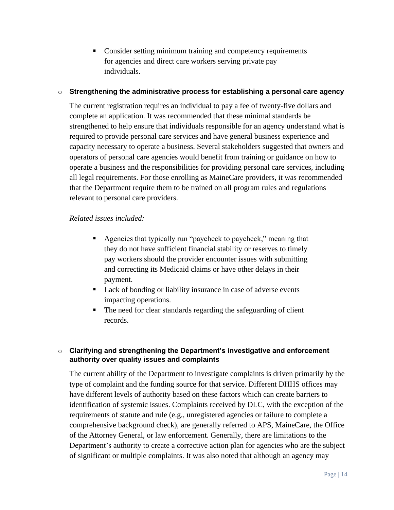■ Consider setting minimum training and competency requirements for agencies and direct care workers serving private pay individuals.

#### o **Strengthening the administrative process for establishing a personal care agency**

The current registration requires an individual to pay a fee of twenty-five dollars and complete an application. It was recommended that these minimal standards be strengthened to help ensure that individuals responsible for an agency understand what is required to provide personal care services and have general business experience and capacity necessary to operate a business. Several stakeholders suggested that owners and operators of personal care agencies would benefit from training or guidance on how to operate a business and the responsibilities for providing personal care services, including all legal requirements. For those enrolling as MaineCare providers, it was recommended that the Department require them to be trained on all program rules and regulations relevant to personal care providers.

#### *Related issues included:*

- Agencies that typically run "paycheck to paycheck," meaning that they do not have sufficient financial stability or reserves to timely pay workers should the provider encounter issues with submitting and correcting its Medicaid claims or have other delays in their payment.
- Lack of bonding or liability insurance in case of adverse events impacting operations.
- The need for clear standards regarding the safeguarding of client records.

#### o **Clarifying and strengthening the Department's investigative and enforcement authority over quality issues and complaints**

The current ability of the Department to investigate complaints is driven primarily by the type of complaint and the funding source for that service. Different DHHS offices may have different levels of authority based on these factors which can create barriers to identification of systemic issues. Complaints received by DLC, with the exception of the requirements of statute and rule (e.g., unregistered agencies or failure to complete a comprehensive background check), are generally referred to APS, MaineCare, the Office of the Attorney General, or law enforcement. Generally, there are limitations to the Department's authority to create a corrective action plan for agencies who are the subject of significant or multiple complaints. It was also noted that although an agency may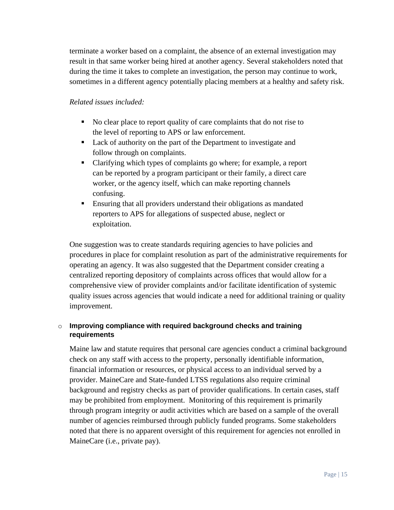terminate a worker based on a complaint, the absence of an external investigation may result in that same worker being hired at another agency. Several stakeholders noted that during the time it takes to complete an investigation, the person may continue to work, sometimes in a different agency potentially placing members at a healthy and safety risk.

#### *Related issues included:*

- No clear place to report quality of care complaints that do not rise to the level of reporting to APS or law enforcement.
- Lack of authority on the part of the Department to investigate and follow through on complaints.
- Clarifying which types of complaints go where; for example, a report can be reported by a program participant or their family, a direct care worker, or the agency itself, which can make reporting channels confusing.
- **Ensuring that all providers understand their obligations as mandated** reporters to APS for allegations of suspected abuse, neglect or exploitation.

One suggestion was to create standards requiring agencies to have policies and procedures in place for complaint resolution as part of the administrative requirements for operating an agency. It was also suggested that the Department consider creating a centralized reporting depository of complaints across offices that would allow for a comprehensive view of provider complaints and/or facilitate identification of systemic quality issues across agencies that would indicate a need for additional training or quality improvement.

### o **Improving compliance with required background checks and training requirements**

Maine law and statute requires that personal care agencies conduct a criminal background check on any staff with access to the property, personally identifiable information, financial information or resources, or physical access to an individual served by a provider. MaineCare and State-funded LTSS regulations also require criminal background and registry checks as part of provider qualifications. In certain cases, staff may be prohibited from employment. Monitoring of this requirement is primarily through program integrity or audit activities which are based on a sample of the overall number of agencies reimbursed through publicly funded programs. Some stakeholders noted that there is no apparent oversight of this requirement for agencies not enrolled in MaineCare (i.e., private pay).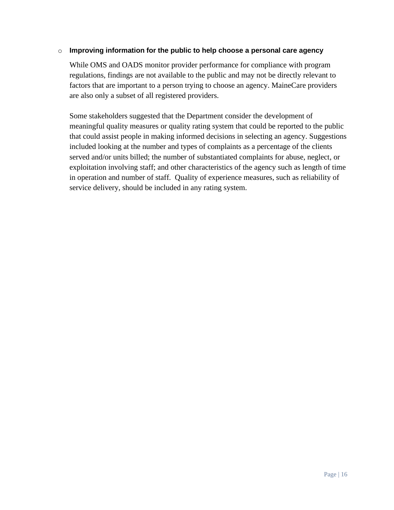#### o **Improving information for the public to help choose a personal care agency**

While OMS and OADS monitor provider performance for compliance with program regulations, findings are not available to the public and may not be directly relevant to factors that are important to a person trying to choose an agency. MaineCare providers are also only a subset of all registered providers.

Some stakeholders suggested that the Department consider the development of meaningful quality measures or quality rating system that could be reported to the public that could assist people in making informed decisions in selecting an agency. Suggestions included looking at the number and types of complaints as a percentage of the clients served and/or units billed; the number of substantiated complaints for abuse, neglect, or exploitation involving staff; and other characteristics of the agency such as length of time in operation and number of staff. Quality of experience measures, such as reliability of service delivery, should be included in any rating system.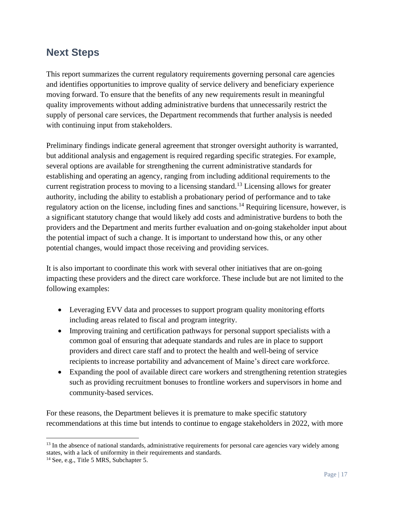## <span id="page-17-0"></span>**Next Steps**

This report summarizes the current regulatory requirements governing personal care agencies and identifies opportunities to improve quality of service delivery and beneficiary experience moving forward. To ensure that the benefits of any new requirements result in meaningful quality improvements without adding administrative burdens that unnecessarily restrict the supply of personal care services, the Department recommends that further analysis is needed with continuing input from stakeholders.

Preliminary findings indicate general agreement that stronger oversight authority is warranted, but additional analysis and engagement is required regarding specific strategies. For example, several options are available for strengthening the current administrative standards for establishing and operating an agency, ranging from including additional requirements to the current registration process to moving to a licensing standard.<sup>13</sup> Licensing allows for greater authority, including the ability to establish a probationary period of performance and to take regulatory action on the license, including fines and sanctions.<sup>14</sup> Requiring licensure, however, is a significant statutory change that would likely add costs and administrative burdens to both the providers and the Department and merits further evaluation and on-going stakeholder input about the potential impact of such a change. It is important to understand how this, or any other potential changes, would impact those receiving and providing services.

It is also important to coordinate this work with several other initiatives that are on-going impacting these providers and the direct care workforce. These include but are not limited to the following examples:

- Leveraging EVV data and processes to support program quality monitoring efforts including areas related to fiscal and program integrity.
- Improving training and certification pathways for personal support specialists with a common goal of ensuring that adequate standards and rules are in place to support providers and direct care staff and to protect the health and well-being of service recipients to increase portability and advancement of Maine's direct care workforce.
- Expanding the pool of available direct care workers and strengthening retention strategies such as providing recruitment bonuses to frontline workers and supervisors in home and community-based services.

For these reasons, the Department believes it is premature to make specific statutory recommendations at this time but intends to continue to engage stakeholders in 2022, with more

<sup>&</sup>lt;sup>13</sup> In the absence of national standards, administrative requirements for personal care agencies vary widely among states, with a lack of uniformity in their requirements and standards.

<sup>&</sup>lt;sup>14</sup> See, e.g., Title 5 MRS, Subchapter 5.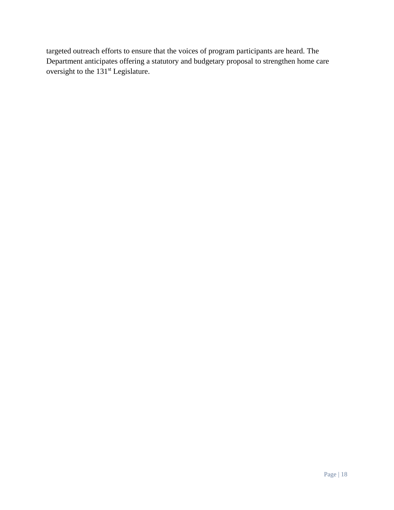targeted outreach efforts to ensure that the voices of program participants are heard. The Department anticipates offering a statutory and budgetary proposal to strengthen home care oversight to the 131<sup>st</sup> Legislature.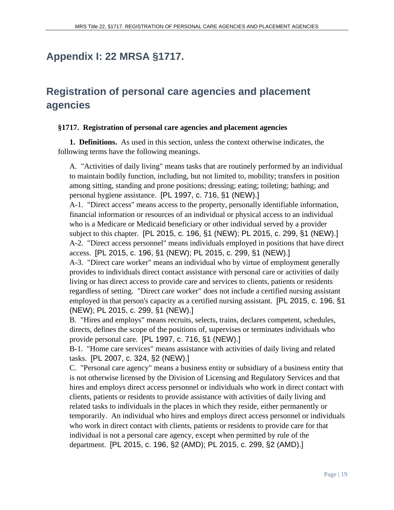## <span id="page-19-0"></span>**Appendix I: 22 MRSA §1717.**

# **Registration of personal care agencies and placement agencies**

#### **§1717. Registration of personal care agencies and placement agencies**

**1. Definitions.** As used in this section, unless the context otherwise indicates, the following terms have the following meanings.

A. "Activities of daily living" means tasks that are routinely performed by an individual to maintain bodily function, including, but not limited to, mobility; transfers in position among sitting, standing and prone positions; dressing; eating; toileting; bathing; and personal hygiene assistance. [PL 1997, c. 716, §1 (NEW).]

A-1. "Direct access" means access to the property, personally identifiable information, financial information or resources of an individual or physical access to an individual who is a Medicare or Medicaid beneficiary or other individual served by a provider subject to this chapter. [PL 2015, c. 196, §1 (NEW); PL 2015, c. 299, §1 (NEW).] A-2. "Direct access personnel" means individuals employed in positions that have direct access. [PL 2015, c. 196, §1 (NEW); PL 2015, c. 299, §1 (NEW).]

A-3. "Direct care worker" means an individual who by virtue of employment generally provides to individuals direct contact assistance with personal care or activities of daily living or has direct access to provide care and services to clients, patients or residents regardless of setting. "Direct care worker" does not include a certified nursing assistant employed in that person's capacity as a certified nursing assistant. [PL 2015, c. 196, §1 (NEW); PL 2015, c. 299, §1 (NEW).]

B. "Hires and employs" means recruits, selects, trains, declares competent, schedules, directs, defines the scope of the positions of, supervises or terminates individuals who provide personal care. [PL 1997, c. 716, §1 (NEW).]

B-1. "Home care services" means assistance with activities of daily living and related tasks. [PL 2007, c. 324, §2 (NEW).]

C. "Personal care agency" means a business entity or subsidiary of a business entity that is not otherwise licensed by the Division of Licensing and Regulatory Services and that hires and employs direct access personnel or individuals who work in direct contact with clients, patients or residents to provide assistance with activities of daily living and related tasks to individuals in the places in which they reside, either permanently or temporarily. An individual who hires and employs direct access personnel or individuals who work in direct contact with clients, patients or residents to provide care for that individual is not a personal care agency, except when permitted by rule of the department. [PL 2015, c. 196, §2 (AMD); PL 2015, c. 299, §2 (AMD).]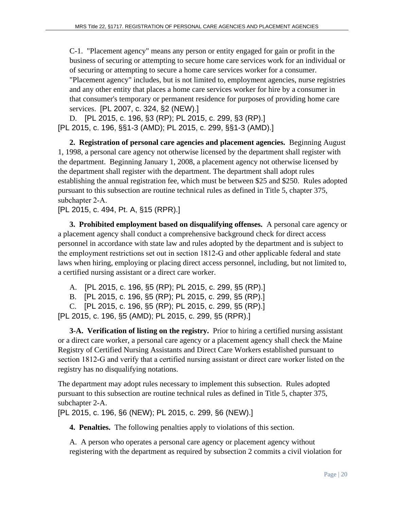C-1. "Placement agency" means any person or entity engaged for gain or profit in the business of securing or attempting to secure home care services work for an individual or of securing or attempting to secure a home care services worker for a consumer. "Placement agency" includes, but is not limited to, employment agencies, nurse registries and any other entity that places a home care services worker for hire by a consumer in that consumer's temporary or permanent residence for purposes of providing home care services. [PL 2007, c. 324, §2 (NEW).]

D. [PL 2015, c. 196, §3 (RP); PL 2015, c. 299, §3 (RP).] [PL 2015, c. 196, §§1-3 (AMD); PL 2015, c. 299, §§1-3 (AMD).]

**2. Registration of personal care agencies and placement agencies.** Beginning August 1, 1998, a personal care agency not otherwise licensed by the department shall register with the department. Beginning January 1, 2008, a placement agency not otherwise licensed by the department shall register with the department. The department shall adopt rules establishing the annual registration fee, which must be between \$25 and \$250. Rules adopted pursuant to this subsection are routine technical rules as defined in Title 5, chapter 375, subchapter 2‑A.

[PL 2015, c. 494, Pt. A, §15 (RPR).]

**3. Prohibited employment based on disqualifying offenses.** A personal care agency or a placement agency shall conduct a comprehensive background check for direct access personnel in accordance with state law and rules adopted by the department and is subject to the employment restrictions set out in section 1812‑G and other applicable federal and state laws when hiring, employing or placing direct access personnel, including, but not limited to, a certified nursing assistant or a direct care worker.

A. [PL 2015, c. 196, §5 (RP); PL 2015, c. 299, §5 (RP).]

B. [PL 2015, c. 196, §5 (RP); PL 2015, c. 299, §5 (RP).]

C. [PL 2015, c. 196, §5 (RP); PL 2015, c. 299, §5 (RP).]

[PL 2015, c. 196, §5 (AMD); PL 2015, c. 299, §5 (RPR).]

**3-A. Verification of listing on the registry.** Prior to hiring a certified nursing assistant or a direct care worker, a personal care agency or a placement agency shall check the Maine Registry of Certified Nursing Assistants and Direct Care Workers established pursuant to section 1812‑G and verify that a certified nursing assistant or direct care worker listed on the registry has no disqualifying notations.

The department may adopt rules necessary to implement this subsection. Rules adopted pursuant to this subsection are routine technical rules as defined in Title 5, chapter 375, subchapter 2-A.

[PL 2015, c. 196, §6 (NEW); PL 2015, c. 299, §6 (NEW).]

**4. Penalties.** The following penalties apply to violations of this section.

A. A person who operates a personal care agency or placement agency without registering with the department as required by subsection 2 commits a civil violation for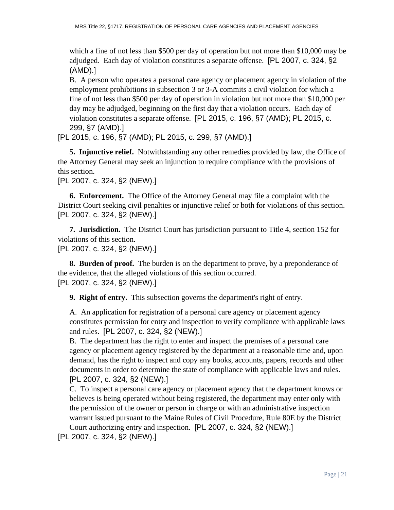which a fine of not less than \$500 per day of operation but not more than \$10,000 may be adjudged. Each day of violation constitutes a separate offense. [PL 2007, c. 324, §2 (AMD).]

B. A person who operates a personal care agency or placement agency in violation of the employment prohibitions in subsection 3 or 3-A commits a civil violation for which a fine of not less than \$500 per day of operation in violation but not more than \$10,000 per day may be adjudged, beginning on the first day that a violation occurs. Each day of violation constitutes a separate offense. [PL 2015, c. 196, §7 (AMD); PL 2015, c. 299, §7 (AMD).]

[PL 2015, c. 196, §7 (AMD); PL 2015, c. 299, §7 (AMD).]

**5. Injunctive relief.** Notwithstanding any other remedies provided by law, the Office of the Attorney General may seek an injunction to require compliance with the provisions of this section.

[PL 2007, c. 324, §2 (NEW).]

**6. Enforcement.** The Office of the Attorney General may file a complaint with the District Court seeking civil penalties or injunctive relief or both for violations of this section. [PL 2007, c. 324, §2 (NEW).]

**7. Jurisdiction.** The District Court has jurisdiction pursuant to Title 4, section 152 for violations of this section.

[PL 2007, c. 324, §2 (NEW).]

**8. Burden of proof.** The burden is on the department to prove, by a preponderance of the evidence, that the alleged violations of this section occurred. [PL 2007, c. 324, §2 (NEW).]

**9. Right of entry.** This subsection governs the department's right of entry.

A. An application for registration of a personal care agency or placement agency constitutes permission for entry and inspection to verify compliance with applicable laws and rules. [PL 2007, c. 324, §2 (NEW).]

B. The department has the right to enter and inspect the premises of a personal care agency or placement agency registered by the department at a reasonable time and, upon demand, has the right to inspect and copy any books, accounts, papers, records and other documents in order to determine the state of compliance with applicable laws and rules. [PL 2007, c. 324, §2 (NEW).]

C. To inspect a personal care agency or placement agency that the department knows or believes is being operated without being registered, the department may enter only with the permission of the owner or person in charge or with an administrative inspection warrant issued pursuant to the Maine Rules of Civil Procedure, Rule 80E by the District Court authorizing entry and inspection. [PL 2007, c. 324, §2 (NEW).]

[PL 2007, c. 324, §2 (NEW).]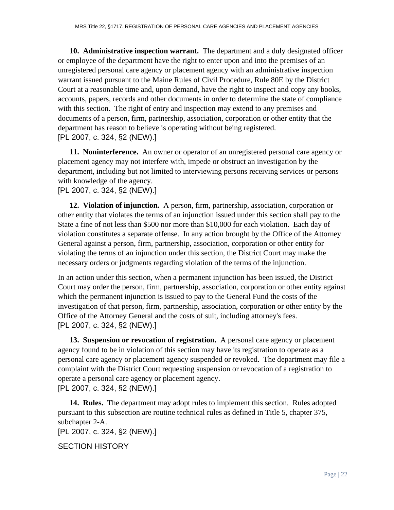**10. Administrative inspection warrant.** The department and a duly designated officer or employee of the department have the right to enter upon and into the premises of an unregistered personal care agency or placement agency with an administrative inspection warrant issued pursuant to the Maine Rules of Civil Procedure, Rule 80E by the District Court at a reasonable time and, upon demand, have the right to inspect and copy any books, accounts, papers, records and other documents in order to determine the state of compliance with this section. The right of entry and inspection may extend to any premises and documents of a person, firm, partnership, association, corporation or other entity that the department has reason to believe is operating without being registered. [PL 2007, c. 324, §2 (NEW).]

**11. Noninterference.** An owner or operator of an unregistered personal care agency or placement agency may not interfere with, impede or obstruct an investigation by the department, including but not limited to interviewing persons receiving services or persons with knowledge of the agency.

[PL 2007, c. 324, §2 (NEW).]

**12. Violation of injunction.** A person, firm, partnership, association, corporation or other entity that violates the terms of an injunction issued under this section shall pay to the State a fine of not less than \$500 nor more than \$10,000 for each violation. Each day of violation constitutes a separate offense. In any action brought by the Office of the Attorney General against a person, firm, partnership, association, corporation or other entity for violating the terms of an injunction under this section, the District Court may make the necessary orders or judgments regarding violation of the terms of the injunction.

In an action under this section, when a permanent injunction has been issued, the District Court may order the person, firm, partnership, association, corporation or other entity against which the permanent injunction is issued to pay to the General Fund the costs of the investigation of that person, firm, partnership, association, corporation or other entity by the Office of the Attorney General and the costs of suit, including attorney's fees. [PL 2007, c. 324, §2 (NEW).]

**13. Suspension or revocation of registration.** A personal care agency or placement agency found to be in violation of this section may have its registration to operate as a personal care agency or placement agency suspended or revoked. The department may file a complaint with the District Court requesting suspension or revocation of a registration to operate a personal care agency or placement agency. [PL 2007, c. 324, §2 (NEW).]

**14. Rules.** The department may adopt rules to implement this section. Rules adopted pursuant to this subsection are routine technical rules as defined in Title 5, chapter 375, subchapter 2-A.

[PL 2007, c. 324, §2 (NEW).]

SECTION HISTORY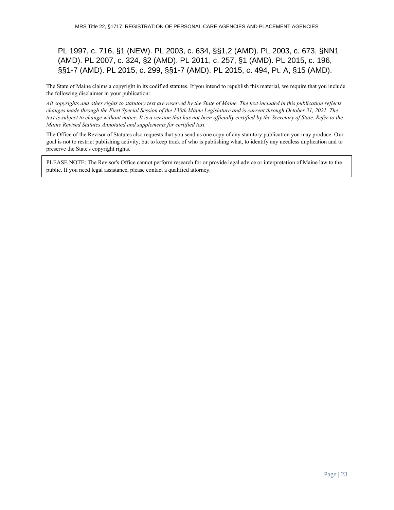### PL 1997, c. 716, §1 (NEW). PL 2003, c. 634, §§1,2 (AMD). PL 2003, c. 673, §NN1 (AMD). PL 2007, c. 324, §2 (AMD). PL 2011, c. 257, §1 (AMD). PL 2015, c. 196, §§1-7 (AMD). PL 2015, c. 299, §§1-7 (AMD). PL 2015, c. 494, Pt. A, §15 (AMD).

The State of Maine claims a copyright in its codified statutes. If you intend to republish this material, we require that you include the following disclaimer in your publication:

*All copyrights and other rights to statutory text are reserved by the State of Maine. The text included in this publication reflects changes made through the First Special Session of the 130th Maine Legislature and is current through October 31, 2021. The text is subject to change without notice. It is a version that has not been officially certified by the Secretary of State. Refer to the Maine Revised Statutes Annotated and supplements for certified text.*

The Office of the Revisor of Statutes also requests that you send us one copy of any statutory publication you may produce. Our goal is not to restrict publishing activity, but to keep track of who is publishing what, to identify any needless duplication and to preserve the State's copyright rights.

PLEASE NOTE: The Revisor's Office cannot perform research for or provide legal advice or interpretation of Maine law to the public. If you need legal assistance, please contact a qualified attorney.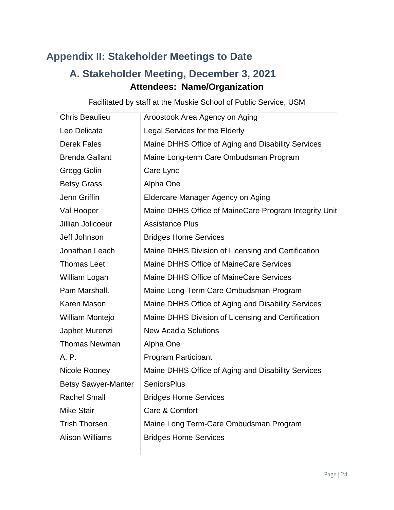# <span id="page-24-0"></span>**Appendix II: Stakeholder Meetings to Date**

# **A. Stakeholder Meeting, December 3, 2021 Attendees: Name/Organization**

| <b>Chris Beaulieu</b>      | Aroostook Area Agency on Aging                        |
|----------------------------|-------------------------------------------------------|
| Leo Delicata               | Legal Services for the Elderly                        |
| <b>Derek Fales</b>         | Maine DHHS Office of Aging and Disability Services    |
| <b>Brenda Gallant</b>      | Maine Long-term Care Ombudsman Program                |
| Gregg Golin                | Care Lync                                             |
| <b>Betsy Grass</b>         | Alpha One                                             |
| Jenn Griffin               | Eldercare Manager Agency on Aging                     |
| Val Hooper                 | Maine DHHS Office of MaineCare Program Integrity Unit |
| Jillian Jolicoeur          | <b>Assistance Plus</b>                                |
| Jeff Johnson               | <b>Bridges Home Services</b>                          |
| Jonathan Leach             | Maine DHHS Division of Licensing and Certification    |
| <b>Thomas Leet</b>         | <b>Maine DHHS Office of MaineCare Services</b>        |
| William Logan              | <b>Maine DHHS Office of MaineCare Services</b>        |
| Pam Marshall.              | Maine Long-Term Care Ombudsman Program                |
| Karen Mason                | Maine DHHS Office of Aging and Disability Services    |
| William Montejo            | Maine DHHS Division of Licensing and Certification    |
| Japhet Murenzi             | <b>New Acadia Solutions</b>                           |
| <b>Thomas Newman</b>       | Alpha One                                             |
| A. P.                      | <b>Program Participant</b>                            |
| Nicole Rooney              | Maine DHHS Office of Aging and Disability Services    |
| <b>Betsy Sawyer-Manter</b> | <b>SeniorsPlus</b>                                    |
| <b>Rachel Small</b>        | <b>Bridges Home Services</b>                          |
| <b>Mike Stair</b>          | Care & Comfort                                        |
| <b>Trish Thorsen</b>       | Maine Long Term-Care Ombudsman Program                |
| <b>Alison Williams</b>     | <b>Bridges Home Services</b>                          |

Facilitated by staff at the Muskie School of Public Service, USM